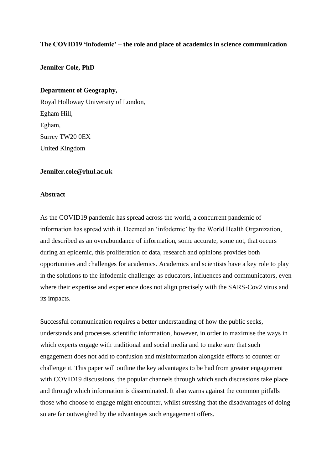# **The COVID19 'infodemic' – the role and place of academics in science communication**

# **Jennifer Cole, PhD**

# **Department of Geography,**

Royal Holloway University of London, Egham Hill, Egham, Surrey TW20 0EX United Kingdom

# **[Jennifer.cole@rhul.ac.uk](mailto:Jennifer.cole@rhul.ac.uk)**

# **Abstract**

As the COVID19 pandemic has spread across the world, a concurrent pandemic of information has spread with it. Deemed an 'infodemic' by the World Health Organization, and described as an overabundance of information, some accurate, some not, that occurs during an epidemic, this proliferation of data, research and opinions provides both opportunities and challenges for academics. Academics and scientists have a key role to play in the solutions to the infodemic challenge: as educators, influences and communicators, even where their expertise and experience does not align precisely with the SARS-Cov2 virus and its impacts.

Successful communication requires a better understanding of how the public seeks, understands and processes scientific information, however, in order to maximise the ways in which experts engage with traditional and social media and to make sure that such engagement does not add to confusion and misinformation alongside efforts to counter or challenge it. This paper will outline the key advantages to be had from greater engagement with COVID19 discussions, the popular channels through which such discussions take place and through which information is disseminated. It also warns against the common pitfalls those who choose to engage might encounter, whilst stressing that the disadvantages of doing so are far outweighed by the advantages such engagement offers.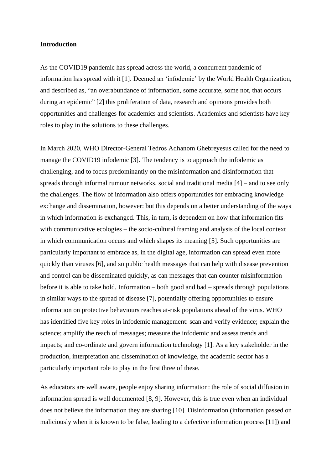# **Introduction**

As the COVID19 pandemic has spread across the world, a concurrent pandemic of information has spread with it [1]. Deemed an 'infodemic' by the World Health Organization, and described as, "an overabundance of information, some accurate, some not, that occurs during an epidemic" [2] this proliferation of data, research and opinions provides both opportunities and challenges for academics and scientists. Academics and scientists have key roles to play in the solutions to these challenges.

In March 2020, WHO Director-General Tedros Adhanom Ghebreyesus called for the need to manage the COVID19 infodemic [3]. The tendency is to approach the infodemic as challenging, and to focus predominantly on the misinformation and disinformation that spreads through informal rumour networks, social and traditional media [4] – and to see only the challenges. The flow of information also offers opportunities for embracing knowledge exchange and dissemination, however: but this depends on a better understanding of the ways in which information is exchanged. This, in turn, is dependent on how that information fits with communicative ecologies – the socio-cultural framing and analysis of the local context in which communication occurs and which shapes its meaning [5]. Such opportunities are particularly important to embrace as, in the digital age, information can spread even more quickly than viruses [6], and so public health messages that can help with disease prevention and control can be disseminated quickly, as can messages that can counter misinformation before it is able to take hold. Information – both good and bad – spreads through populations in similar ways to the spread of disease [7], potentially offering opportunities to ensure information on protective behaviours reaches at-risk populations ahead of the virus. WHO has identified five key roles in infodemic management: scan and verify evidence; explain the science; amplify the reach of messages; measure the infodemic and assess trends and impacts; and co-ordinate and govern information technology [1]. As a key stakeholder in the production, interpretation and dissemination of knowledge, the academic sector has a particularly important role to play in the first three of these.

As educators are well aware, people enjoy sharing information: the role of social diffusion in information spread is well documented [8, 9]. However, this is true even when an individual does not believe the information they are sharing [10]. Disinformation (information passed on maliciously when it is known to be false, leading to a defective information process [11]) and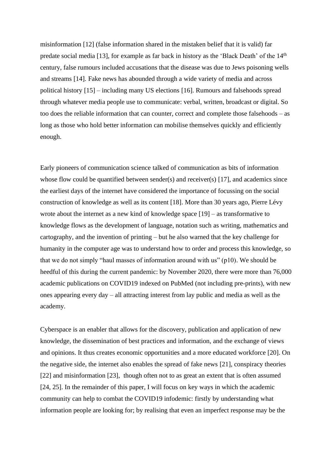misinformation [12] (false information shared in the mistaken belief that it is valid) far predate social media [13], for example as far back in history as the 'Black Death' of the 14th century, false rumours included accusations that the disease was due to Jews poisoning wells and streams [14]. Fake news has abounded through a wide variety of media and across political history [15] – including many US elections [16]. Rumours and falsehoods spread through whatever media people use to communicate: verbal, written, broadcast or digital. So too does the reliable information that can counter, correct and complete those falsehoods – as long as those who hold better information can mobilise themselves quickly and efficiently enough.

Early pioneers of communication science talked of communication as bits of information whose flow could be quantified between sender(s) and receiver(s) [17], and academics since the earliest days of the internet have considered the importance of focussing on the social construction of knowledge as well as its content [18]. More than 30 years ago, Pierre Lévy wrote about the internet as a new kind of knowledge space [19] – as transformative to knowledge flows as the development of language, notation such as writing, mathematics and cartography, and the invention of printing – but he also warned that the key challenge for humanity in the computer age was to understand how to order and process this knowledge, so that we do not simply "haul masses of information around with us" (p10). We should be heedful of this during the current pandemic: by November 2020, there were more than 76,000 academic publications on COVID19 indexed on PubMed (not including pre-prints), with new ones appearing every day – all attracting interest from lay public and media as well as the academy.

Cyberspace is an enabler that allows for the discovery, publication and application of new knowledge, the dissemination of best practices and information, and the exchange of views and opinions. It thus creates economic opportunities and a more educated workforce [20]. On the negative side, the internet also enables the spread of fake news [21], conspiracy theories [22] and misinformation [23], though often not to as great an extent that is often assumed [24, 25]. In the remainder of this paper, I will focus on key ways in which the academic community can help to combat the COVID19 infodemic: firstly by understanding what information people are looking for; by realising that even an imperfect response may be the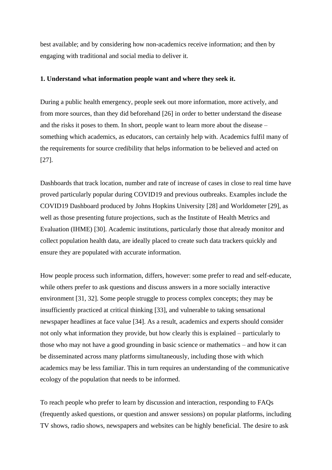best available; and by considering how non-academics receive information; and then by engaging with traditional and social media to deliver it.

# **1. Understand what information people want and where they seek it.**

During a public health emergency, people seek out more information, more actively, and from more sources, than they did beforehand [26] in order to better understand the disease and the risks it poses to them. In short, people want to learn more about the disease – something which academics, as educators, can certainly help with. Academics fulfil many of the requirements for source credibility that helps information to be believed and acted on [27].

Dashboards that track location, number and rate of increase of cases in close to real time have proved particularly popular during COVID19 and previous outbreaks. Examples include the COVID19 Dashboard produced by Johns Hopkins University [28] and Worldometer [29], as well as those presenting future projections, such as the Institute of Health Metrics and Evaluation (IHME) [30]. Academic institutions, particularly those that already monitor and collect population health data, are ideally placed to create such data trackers quickly and ensure they are populated with accurate information.

How people process such information, differs, however: some prefer to read and self-educate, while others prefer to ask questions and discuss answers in a more socially interactive environment [31, 32]. Some people struggle to process complex concepts; they may be insufficiently practiced at critical thinking [33], and vulnerable to taking sensational newspaper headlines at face value [34]. As a result, academics and experts should consider not only what information they provide, but how clearly this is explained – particularly to those who may not have a good grounding in basic science or mathematics – and how it can be disseminated across many platforms simultaneously, including those with which academics may be less familiar. This in turn requires an understanding of the communicative ecology of the population that needs to be informed.

To reach people who prefer to learn by discussion and interaction, responding to FAQs (frequently asked questions, or question and answer sessions) on popular platforms, including TV shows, radio shows, newspapers and websites can be highly beneficial. The desire to ask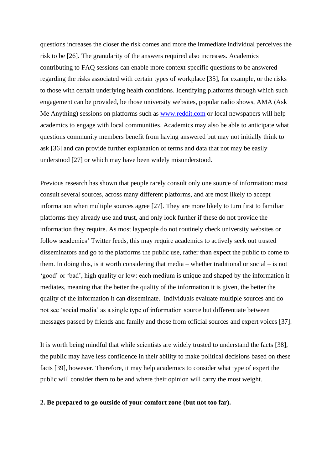questions increases the closer the risk comes and more the immediate individual perceives the risk to be [26]. The granularity of the answers required also increases. Academics contributing to FAQ sessions can enable more context-specific questions to be answered – regarding the risks associated with certain types of workplace [35], for example, or the risks to those with certain underlying health conditions. Identifying platforms through which such engagement can be provided, be those university websites, popular radio shows, AMA (Ask Me Anything) sessions on platforms such as [www.reddit.com](http://www.reddit.com/) or local newspapers will help academics to engage with local communities. Academics may also be able to anticipate what questions community members benefit from having answered but may not initially think to ask [36] and can provide further explanation of terms and data that not may be easily understood [27] or which may have been widely misunderstood.

Previous research has shown that people rarely consult only one source of information: most consult several sources, across many different platforms, and are most likely to accept information when multiple sources agree [27]. They are more likely to turn first to familiar platforms they already use and trust, and only look further if these do not provide the information they require. As most laypeople do not routinely check university websites or follow academics' Twitter feeds, this may require academics to actively seek out trusted disseminators and go to the platforms the public use, rather than expect the public to come to them. In doing this, is it worth considering that media – whether traditional or social – is not 'good' or 'bad', high quality or low: each medium is unique and shaped by the information it mediates, meaning that the better the quality of the information it is given, the better the quality of the information it can disseminate. Individuals evaluate multiple sources and do not see 'social media' as a single type of information source but differentiate between messages passed by friends and family and those from official sources and expert voices [37].

It is worth being mindful that while scientists are widely trusted to understand the facts [38], the public may have less confidence in their ability to make political decisions based on these facts [39], however. Therefore, it may help academics to consider what type of expert the public will consider them to be and where their opinion will carry the most weight.

#### **2. Be prepared to go outside of your comfort zone (but not too far).**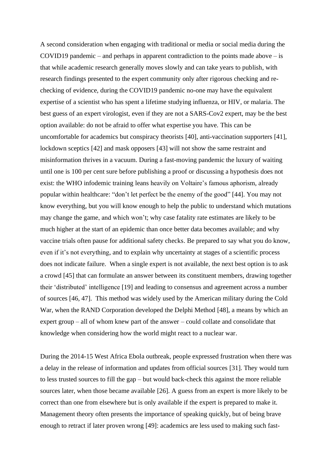A second consideration when engaging with traditional or media or social media during the COVID19 pandemic – and perhaps in apparent contradiction to the points made above – is that while academic research generally moves slowly and can take years to publish, with research findings presented to the expert community only after rigorous checking and rechecking of evidence, during the COVID19 pandemic no-one may have the equivalent expertise of a scientist who has spent a lifetime studying influenza, or HIV, or malaria. The best guess of an expert virologist, even if they are not a SARS-Cov2 expert, may be the best option available: do not be afraid to offer what expertise you have. This can be uncomfortable for academics but conspiracy theorists [40], anti-vaccination supporters [41], lockdown sceptics [42] and mask opposers [43] will not show the same restraint and misinformation thrives in a vacuum. During a fast-moving pandemic the luxury of waiting until one is 100 per cent sure before publishing a proof or discussing a hypothesis does not exist: the WHO infodemic training leans heavily on Voltaire's famous aphorism, already popular within healthcare: "don't let perfect be the enemy of the good" [44]. You may not know everything, but you will know enough to help the public to understand which mutations may change the game, and which won't; why case fatality rate estimates are likely to be much higher at the start of an epidemic than once better data becomes available; and why vaccine trials often pause for additional safety checks. Be prepared to say what you do know, even if it's not everything, and to explain why uncertainty at stages of a scientific process does not indicate failure. When a single expert is not available, the next best option is to ask a crowd [45] that can formulate an answer between its constituent members, drawing together their 'distributed' intelligence [19] and leading to consensus and agreement across a number of sources [46, 47]. This method was widely used by the American military during the Cold War, when the RAND Corporation developed the Delphi Method [48], a means by which an expert group – all of whom knew part of the answer – could collate and consolidate that knowledge when considering how the world might react to a nuclear war.

During the 2014-15 West Africa Ebola outbreak, people expressed frustration when there was a delay in the release of information and updates from official sources [31]. They would turn to less trusted sources to fill the gap – but would back-check this against the more reliable sources later, when those became available [26]. A guess from an expert is more likely to be correct than one from elsewhere but is only available if the expert is prepared to make it. Management theory often presents the importance of speaking quickly, but of being brave enough to retract if later proven wrong [49]: academics are less used to making such fast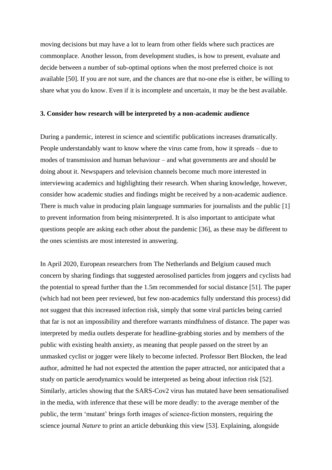moving decisions but may have a lot to learn from other fields where such practices are commonplace. Another lesson, from development studies, is how to present, evaluate and decide between a number of sub-optimal options when the most preferred choice is not available [50]. If you are not sure, and the chances are that no-one else is either, be willing to share what you do know. Even if it is incomplete and uncertain, it may be the best available.

#### **3. Consider how research will be interpreted by a non-academic audience**

During a pandemic, interest in science and scientific publications increases dramatically. People understandably want to know where the virus came from, how it spreads – due to modes of transmission and human behaviour – and what governments are and should be doing about it. Newspapers and television channels become much more interested in interviewing academics and highlighting their research. When sharing knowledge, however, consider how academic studies and findings might be received by a non-academic audience. There is much value in producing plain language summaries for journalists and the public [1] to prevent information from being misinterpreted. It is also important to anticipate what questions people are asking each other about the pandemic [36], as these may be different to the ones scientists are most interested in answering.

In April 2020, European researchers from The Netherlands and Belgium caused much concern by sharing findings that suggested aerosolised particles from joggers and cyclists had the potential to spread further than the 1.5m recommended for social distance [51]. The paper (which had not been peer reviewed, but few non-academics fully understand this process) did not suggest that this increased infection risk, simply that some viral particles being carried that far is not an impossibility and therefore warrants mindfulness of distance. The paper was interpreted by media outlets desperate for headline-grabbing stories and by members of the public with existing health anxiety, as meaning that people passed on the street by an unmasked cyclist or jogger were likely to become infected. Professor Bert Blocken, the lead author, admitted he had not expected the attention the paper attracted, nor anticipated that a study on particle aerodynamics would be interpreted as being about infection risk [52]. Similarly, articles showing that the SARS-Cov2 virus has mutated have been sensationalised in the media, with inference that these will be more deadly: to the average member of the public, the term 'mutant' brings forth images of science-fiction monsters, requiring the science journal *Nature* to print an article debunking this view [53]. Explaining, alongside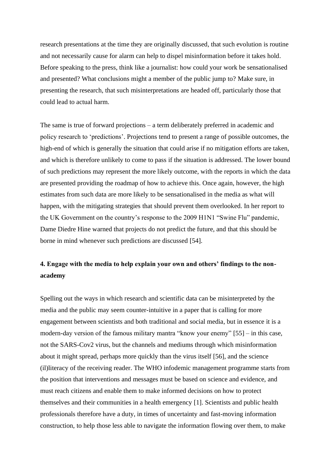research presentations at the time they are originally discussed, that such evolution is routine and not necessarily cause for alarm can help to dispel misinformation before it takes hold. Before speaking to the press, think like a journalist: how could your work be sensationalised and presented? What conclusions might a member of the public jump to? Make sure, in presenting the research, that such misinterpretations are headed off, particularly those that could lead to actual harm.

The same is true of forward projections – a term deliberately preferred in academic and policy research to 'predictions'. Projections tend to present a range of possible outcomes, the high-end of which is generally the situation that could arise if no mitigation efforts are taken, and which is therefore unlikely to come to pass if the situation is addressed. The lower bound of such predictions may represent the more likely outcome, with the reports in which the data are presented providing the roadmap of how to achieve this. Once again, however, the high estimates from such data are more likely to be sensationalised in the media as what will happen, with the mitigating strategies that should prevent them overlooked. In her report to the UK Government on the country's response to the 2009 H1N1 "Swine Flu" pandemic, Dame Diedre Hine warned that projects do not predict the future, and that this should be borne in mind whenever such predictions are discussed [54].

# **4. Engage with the media to help explain your own and others' findings to the nonacademy**

Spelling out the ways in which research and scientific data can be misinterpreted by the media and the public may seem counter-intuitive in a paper that is calling for more engagement between scientists and both traditional and social media, but in essence it is a modern-day version of the famous military mantra "know your enemy" [55] – in this case, not the SARS-Cov2 virus, but the channels and mediums through which misinformation about it might spread, perhaps more quickly than the virus itself [56], and the science (il)literacy of the receiving reader. The WHO infodemic management programme starts from the position that interventions and messages must be based on science and evidence, and must reach citizens and enable them to make informed decisions on how to protect themselves and their communities in a health emergency [1]. Scientists and public health professionals therefore have a duty, in times of uncertainty and fast-moving information construction, to help those less able to navigate the information flowing over them, to make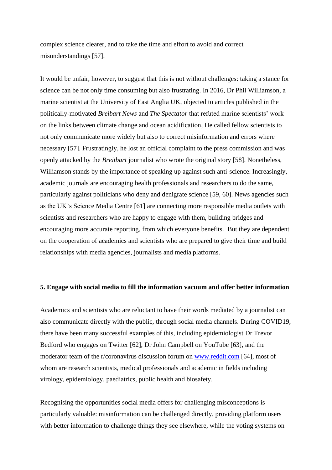complex science clearer, and to take the time and effort to avoid and correct misunderstandings [57].

It would be unfair, however, to suggest that this is not without challenges: taking a stance for science can be not only time consuming but also frustrating. In 2016, Dr Phil Williamson, a marine scientist at the University of East Anglia UK, objected to articles published in the politically-motivated *Breibart News* and *The Spectator* that refuted marine scientists' work on the links between climate change and ocean acidification, He called fellow scientists to not only communicate more widely but also to correct misinformation and errors where necessary [57]. Frustratingly, he lost an official complaint to the press commission and was openly attacked by the *Breitbart* journalist who wrote the original story [58]. Nonetheless, Williamson stands by the importance of speaking up against such anti-science. Increasingly, academic journals are encouraging health professionals and researchers to do the same, particularly against politicians who deny and denigrate science [59, 60]. News agencies such as the UK's Science Media Centre [61] are connecting more responsible media outlets with scientists and researchers who are happy to engage with them, building bridges and encouraging more accurate reporting, from which everyone benefits. But they are dependent on the cooperation of academics and scientists who are prepared to give their time and build relationships with media agencies, journalists and media platforms.

# **5. Engage with social media to fill the information vacuum and offer better information**

Academics and scientists who are reluctant to have their words mediated by a journalist can also communicate directly with the public, through social media channels. During COVID19, there have been many successful examples of this, including epidemiologist Dr Trevor Bedford who engages on Twitter [62], Dr John Campbell on YouTube [63], and the moderator team of the r/coronavirus discussion forum on [www.reddit.com](http://www.reddit.com/) [64], most of whom are research scientists, medical professionals and academic in fields including virology, epidemiology, paediatrics, public health and biosafety.

Recognising the opportunities social media offers for challenging misconceptions is particularly valuable: misinformation can be challenged directly, providing platform users with better information to challenge things they see elsewhere, while the voting systems on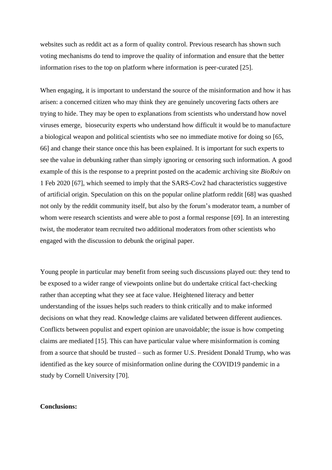websites such as reddit act as a form of quality control. Previous research has shown such voting mechanisms do tend to improve the quality of information and ensure that the better information rises to the top on platform where information is peer-curated [25].

When engaging, it is important to understand the source of the misinformation and how it has arisen: a concerned citizen who may think they are genuinely uncovering facts others are trying to hide. They may be open to explanations from scientists who understand how novel viruses emerge, biosecurity experts who understand how difficult it would be to manufacture a biological weapon and political scientists who see no immediate motive for doing so [65, 66] and change their stance once this has been explained. It is important for such experts to see the value in debunking rather than simply ignoring or censoring such information. A good example of this is the response to a preprint posted on the academic archiving site *BioRxiv* on 1 Feb 2020 [67], which seemed to imply that the SARS-Cov2 had characteristics suggestive of artificial origin. Speculation on this on the popular online platform reddit [68] was quashed not only by the reddit community itself, but also by the forum's moderator team, a number of whom were research scientists and were able to post a formal response [69]. In an interesting twist, the moderator team recruited two additional moderators from other scientists who engaged with the discussion to debunk the original paper.

Young people in particular may benefit from seeing such discussions played out: they tend to be exposed to a wider range of viewpoints online but do undertake critical fact-checking rather than accepting what they see at face value. Heightened literacy and better understanding of the issues helps such readers to think critically and to make informed decisions on what they read. Knowledge claims are validated between different audiences. Conflicts between populist and expert opinion are unavoidable; the issue is how competing claims are mediated [15]. This can have particular value where misinformation is coming from a source that should be trusted – such as former U.S. President Donald Trump, who was identified as the key source of misinformation online during the COVID19 pandemic in a study by Cornell University [70].

# **Conclusions:**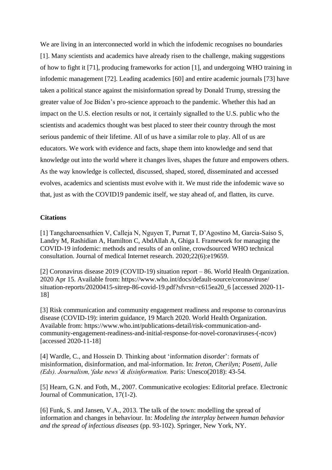We are living in an interconnected world in which the infodemic recognises no boundaries [1]. Many scientists and academics have already risen to the challenge, making suggestions of how to fight it [71], producing frameworks for action [1], and undergoing WHO training in infodemic management [72]. Leading academics [60] and entire academic journals [73] have taken a political stance against the misinformation spread by Donald Trump, stressing the greater value of Joe Biden's pro-science approach to the pandemic. Whether this had an impact on the U.S. election results or not, it certainly signalled to the U.S. public who the scientists and academics thought was best placed to steer their country through the most serious pandemic of their lifetime. All of us have a similar role to play. All of us are educators. We work with evidence and facts, shape them into knowledge and send that knowledge out into the world where it changes lives, shapes the future and empowers others. As the way knowledge is collected, discussed, shaped, stored, disseminated and accessed evolves, academics and scientists must evolve with it. We must ride the infodemic wave so that, just as with the COVID19 pandemic itself, we stay ahead of, and flatten, its curve.

#### **Citations**

[1] Tangcharoensathien V, Calleja N, Nguyen T, Purnat T, D'Agostino M, Garcia-Saiso S, Landry M, Rashidian A, Hamilton C, AbdAllah A, Ghiga I. Framework for managing the COVID-19 infodemic: methods and results of an online, crowdsourced WHO technical consultation. Journal of medical Internet research. 2020;22(6):e19659.

[2] Coronavirus disease 2019 (COVID-19) situation report – 86. World Health Organization. 2020 Apr 15. Available from: [https://www.who.int/docs/default-source/coronaviruse/](https://www.who.int/docs/default-source/coronaviruse/situation-reports/20200415-sitrep-86-covid-19.pdf?sfvrsn=c615ea20_6) [situation-reports/20200415-sitrep-86-covid-19.pdf?sfvrsn=c615ea20\\_6](https://www.who.int/docs/default-source/coronaviruse/situation-reports/20200415-sitrep-86-covid-19.pdf?sfvrsn=c615ea20_6) [accessed 2020-11- 18]

[3] Risk communication and community engagement readiness and response to coronavirus disease (COVID-19): interim guidance, 19 March 2020. World Health Organization. Available from: [https://www.who.int/publications-detail/risk-communication-and](https://www.who.int/publications-detail/risk-communication-and-community-engagement-readiness-and-initial-response-for-novel-coronaviruses-(-ncov))[community-engagement-readiness-and-initial-response-for-novel-coronaviruses-\(-ncov\)](https://www.who.int/publications-detail/risk-communication-and-community-engagement-readiness-and-initial-response-for-novel-coronaviruses-(-ncov)) [accessed 2020-11-18]

[4] Wardle, C., and Hossein D. Thinking about 'information disorder': formats of misinformation, disinformation, and mal-information. In: *Ireton, Cherilyn; Posetti, Julie (Eds). Journalism,'fake news'& disinformation.* Paris: Unesco(2018): 43-54.

[5] Hearn, G.N. and Foth, M., 2007. Communicative ecologies: Editorial preface. Electronic Journal of Communication, 17(1-2).

[6] Funk, S. and Jansen, V.A., 2013. The talk of the town: modelling the spread of information and changes in behaviour. In: *Modeling the interplay between human behavior and the spread of infectious diseases* (pp. 93-102). Springer, New York, NY.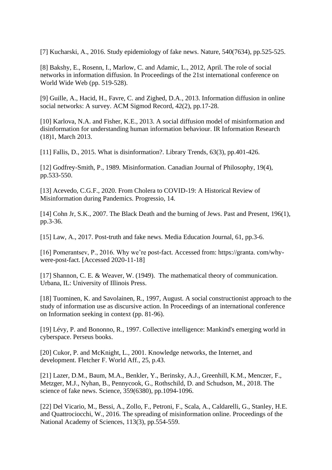[7] Kucharski, A., 2016. Study epidemiology of fake news. Nature, 540(7634), pp.525-525.

[8] Bakshy, E., Rosenn, I., Marlow, C. and Adamic, L., 2012, April. The role of social networks in information diffusion. In Proceedings of the 21st international conference on World Wide Web (pp. 519-528).

[9] Guille, A., Hacid, H., Favre, C. and Zighed, D.A., 2013. Information diffusion in online social networks: A survey. ACM Sigmod Record, 42(2), pp.17-28.

[10] Karlova, N.A. and Fisher, K.E., 2013. A social diffusion model of misinformation and disinformation for understanding human information behaviour. IR Information Research (18)1, March 2013.

[11] Fallis, D., 2015. What is disinformation?. Library Trends, 63(3), pp.401-426.

[12] Godfrey-Smith, P., 1989. Misinformation. Canadian Journal of Philosophy, 19(4), pp.533-550.

[13] Acevedo, C.G.F., 2020. From Cholera to COVID-19: A Historical Review of Misinformation during Pandemics. Progressio, 14.

[14] Cohn Jr, S.K., 2007. The Black Death and the burning of Jews. Past and Present, 196(1), pp.3-36.

[15] Law, A., 2017. Post-truth and fake news. Media Education Journal, 61, pp.3-6.

[16] Pomerantsev, P., 2016. Why we're post-fact. Accessed from: https://granta. com/whywere-post-fact. [Accessed 2020-11-18]

[17] Shannon, C. E. & Weaver, W. (1949). The mathematical theory of communication. Urbana, IL: University of Illinois Press.

[18] Tuominen, K. and Savolainen, R., 1997, August. A social constructionist approach to the study of information use as discursive action. In Proceedings of an international conference on Information seeking in context (pp. 81-96).

[19] Lévy, P. and Bononno, R., 1997. Collective intelligence: Mankind's emerging world in cyberspace. Perseus books.

[20] Cukor, P. and McKnight, L., 2001. Knowledge networks, the Internet, and development. Fletcher F. World Aff., 25, p.43.

[21] Lazer, D.M., Baum, M.A., Benkler, Y., Berinsky, A.J., Greenhill, K.M., Menczer, F., Metzger, M.J., Nyhan, B., Pennycook, G., Rothschild, D. and Schudson, M., 2018. The science of fake news. Science, 359(6380), pp.1094-1096.

[22] Del Vicario, M., Bessi, A., Zollo, F., Petroni, F., Scala, A., Caldarelli, G., Stanley, H.E. and Quattrociocchi, W., 2016. The spreading of misinformation online. Proceedings of the National Academy of Sciences, 113(3), pp.554-559.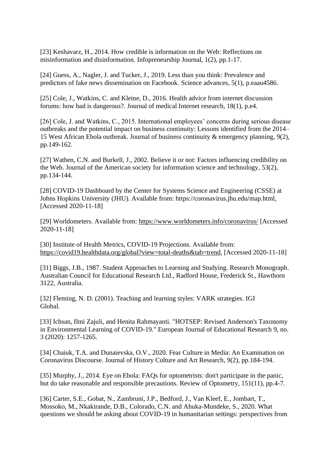[23] Keshavarz, H., 2014. How credible is information on the Web: Reflections on misinformation and disinformation. Infopreneurship Journal, 1(2), pp.1-17.

[24] Guess, A., Nagler, J. and Tucker, J., 2019. Less than you think: Prevalence and predictors of fake news dissemination on Facebook. Science advances, 5(1), p.eaau4586.

[25] Cole, J., Watkins, C. and Kleine, D., 2016. Health advice from internet discussion forums: how bad is dangerous?. Journal of medical Internet research, 18(1), p.e4.

[26] Cole, J. and Watkins, C., 2015. International employees' concerns during serious disease outbreaks and the potential impact on business continuity: Lessons identified from the 2014– 15 West African Ebola outbreak. Journal of business continuity & emergency planning, 9(2), pp.149-162.

[27] Wathen, C.N. and Burkell, J., 2002. Believe it or not: Factors influencing credibility on the Web. Journal of the American society for information science and technology, 53(2), pp.134-144.

[28] COVID-19 Dashboard by the Center for Systems Science and Engineering (CSSE) at Johns Hopkins University (JHU). Available from: [https://coronavirus.jhu.edu/map.html,](https://coronavirus.jhu.edu/map.html) [Accessed 2020-11-18]

[29] Worldometers. Available from:<https://www.worldometers.info/coronavirus/> [Accessed 2020-11-18]

[30] Institute of Health Metrics, COVID-19 Projections. Available from: [https://covid19.healthdata.org/global?view=total-deaths&tab=trend,](https://covid19.healthdata.org/global?view=total-deaths&tab=trend) [Accessed 2020-11-18]

[31] Biggs, J.B., 1987. Student Approaches to Learning and Studying. Research Monograph. Australian Council for Educational Research Ltd., Radford House, Frederick St., Hawthorn 3122, Australia.

[32] Fleming, N. D. (2001). Teaching and learning styles: VARK strategies. IGI Global.

[33] Ichsan, Ilmi Zajuli, and Henita Rahmayanti. "HOTSEP: Revised Anderson's Taxonomy in Environmental Learning of COVID-19." European Journal of Educational Research 9, no. 3 (2020): 1257-1265.

[34] Chaiuk, T.A. and Dunaievska, O.V., 2020. Fear Culture in Media: An Examination on Coronavirus Discourse. Journal of History Culture and Art Research, 9(2), pp.184-194.

[35] Murphy, J., 2014. Eye on Ebola: FAQs for optometrists: don't participate in the panic, but do take reasonable and responsible precautions. Review of Optometry, 151(11), pp.4-7.

[36] Carter, S.E., Gobat, N., Zambruni, J.P., Bedford, J., Van Kleef, E., Jombart, T., Mossoko, M., Nkakirande, D.B., Colorado, C.N. and Ahuka-Mundeke, S., 2020. What questions we should be asking about COVID-19 in humanitarian settings: perspectives from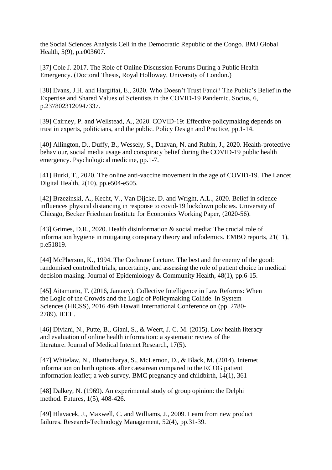the Social Sciences Analysis Cell in the Democratic Republic of the Congo. BMJ Global Health, 5(9), p.e003607.

[37] Cole J. 2017. The Role of Online Discussion Forums During a Public Health Emergency. (Doctoral Thesis, Royal Holloway, University of London.)

[38] Evans, J.H. and Hargittai, E., 2020. Who Doesn't Trust Fauci? The Public's Belief in the Expertise and Shared Values of Scientists in the COVID-19 Pandemic. Socius, 6, p.2378023120947337.

[39] Cairney, P. and Wellstead, A., 2020. COVID-19: Effective policymaking depends on trust in experts, politicians, and the public. Policy Design and Practice, pp.1-14.

[40] Allington, D., Duffy, B., Wessely, S., Dhavan, N. and Rubin, J., 2020. Health-protective behaviour, social media usage and conspiracy belief during the COVID-19 public health emergency. Psychological medicine, pp.1-7.

[41] Burki, T., 2020. The online anti-vaccine movement in the age of COVID-19. The Lancet Digital Health, 2(10), pp.e504-e505.

[42] Brzezinski, A., Kecht, V., Van Dijcke, D. and Wright, A.L., 2020. Belief in science influences physical distancing in response to covid-19 lockdown policies. University of Chicago, Becker Friedman Institute for Economics Working Paper, (2020-56).

[43] Grimes, D.R., 2020. Health disinformation & social media: The crucial role of information hygiene in mitigating conspiracy theory and infodemics. EMBO reports, 21(11), p.e51819.

[44] McPherson, K., 1994. The Cochrane Lecture. The best and the enemy of the good: randomised controlled trials, uncertainty, and assessing the role of patient choice in medical decision making. Journal of Epidemiology & Community Health, 48(1), pp.6-15.

[45] Aitamurto, T. (2016, January). Collective Intelligence in Law Reforms: When the Logic of the Crowds and the Logic of Policymaking Collide. In System Sciences (HICSS), 2016 49th Hawaii International Conference on (pp. 2780- 2789). IEEE.

[46] Diviani, N., Putte, B., Giani, S., & Weert, J. C. M. (2015). Low health literacy and evaluation of online health information: a systematic review of the literature. Journal of Medical Internet Research, 17(5).

[47] Whitelaw, N., Bhattacharya, S., McLernon, D., & Black, M. (2014). Internet information on birth options after caesarean compared to the RCOG patient information leaflet; a web survey. BMC pregnancy and childbirth, 14(1), 361

[48] Dalkey, N. (1969). An experimental study of group opinion: the Delphi method. Futures, 1(5), 408-426.

[49] Hlavacek, J., Maxwell, C. and Williams, J., 2009. Learn from new product failures. Research-Technology Management, 52(4), pp.31-39.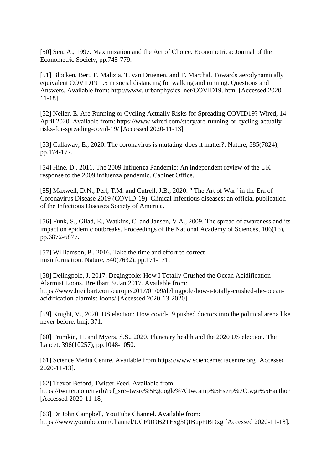[50] Sen, A., 1997. Maximization and the Act of Choice. Econometrica: Journal of the Econometric Society, pp.745-779.

[51] Blocken, Bert, F. Malizia, T. van Druenen, and T. Marchal. Towards aerodynamically equivalent COVID19 1.5 m social distancing for walking and running. Questions and Answers. Available from: http://www. urbanphysics. net/COVID19. html [Accessed 2020- 11-18]

[52] Neiler, E. Are Running or Cycling Actually Risks for Spreading COVID19? Wired, 14 April 2020. Available from: [https://www.wired.com/story/are-running-or-cycling-actually](https://www.wired.com/story/are-running-or-cycling-actually-risks-for-spreading-covid-19/)[risks-for-spreading-covid-19/](https://www.wired.com/story/are-running-or-cycling-actually-risks-for-spreading-covid-19/) [Accessed 2020-11-13]

[53] Callaway, E., 2020. The coronavirus is mutating-does it matter?. Nature, 585(7824), pp.174-177.

[54] Hine, D., 2011. The 2009 Influenza Pandemic: An independent review of the UK response to the 2009 influenza pandemic. Cabinet Office.

[55] Maxwell, D.N., Perl, T.M. and Cutrell, J.B., 2020. " The Art of War" in the Era of Coronavirus Disease 2019 (COVID-19). Clinical infectious diseases: an official publication of the Infectious Diseases Society of America.

[56] Funk, S., Gilad, E., Watkins, C. and Jansen, V.A., 2009. The spread of awareness and its impact on epidemic outbreaks. Proceedings of the National Academy of Sciences, 106(16), pp.6872-6877.

[57] Williamson, P., 2016. Take the time and effort to correct misinformation. Nature, 540(7632), pp.171-171.

[58] Delingpole, J. 2017. Degingpole: How I Totally Crushed the Ocean Acidification Alarmist Loons. Breitbart, 9 Jan 2017. Available from: [https://www.breitbart.com/europe/2017/01/09/delingpole-how-i-totally-crushed-the-ocean](https://www.breitbart.com/europe/2017/01/09/delingpole-how-i-totally-crushed-the-ocean-acidification-alarmist-loons/)[acidification-alarmist-loons/](https://www.breitbart.com/europe/2017/01/09/delingpole-how-i-totally-crushed-the-ocean-acidification-alarmist-loons/) [Accessed 2020-13-2020].

[59] Knight, V., 2020. US election: How covid-19 pushed doctors into the political arena like never before. bmj, 371.

[60] Frumkin, H. and Myers, S.S., 2020. Planetary health and the 2020 US election. The Lancet, 396(10257), pp.1048-1050.

[61] Science Media Centre. Available from [https://www.sciencemediacentre.org](https://www.sciencemediacentre.org/) [Accessed 2020-11-13].

[62] Trevor Beford, Twitter Feed, Available from: [https://twitter.com/trvrb?ref\\_src=twsrc%5Egoogle%7Ctwcamp%5Eserp%7Ctwgr%5Eauthor](https://twitter.com/trvrb?ref_src=twsrc%5Egoogle%7Ctwcamp%5Eserp%7Ctwgr%5Eauthor) [Accessed 2020-11-18]

[63] Dr John Campbell, YouTube Channel. Available from: <https://www.youtube.com/channel/UCF9IOB2TExg3QIBupFtBDxg> [Accessed 2020-11-18].